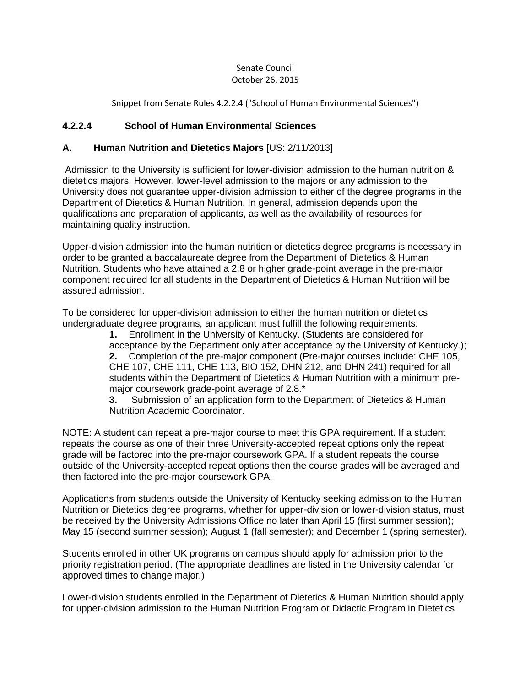#### Senate Council October 26, 2015

Snippet from Senate Rules 4.2.2.4 ("School of Human Environmental Sciences")

## **4.2.2.4 School of Human Environmental Sciences**

### **A. Human Nutrition and Dietetics Majors** [US: 2/11/2013]

Admission to the University is sufficient for lower-division admission to the human nutrition & dietetics majors. However, lower-level admission to the majors or any admission to the University does not guarantee upper-division admission to either of the degree programs in the Department of Dietetics & Human Nutrition. In general, admission depends upon the qualifications and preparation of applicants, as well as the availability of resources for maintaining quality instruction.

Upper-division admission into the human nutrition or dietetics degree programs is necessary in order to be granted a baccalaureate degree from the Department of Dietetics & Human Nutrition. Students who have attained a 2.8 or higher grade-point average in the pre-major component required for all students in the Department of Dietetics & Human Nutrition will be assured admission.

To be considered for upper-division admission to either the human nutrition or dietetics undergraduate degree programs, an applicant must fulfill the following requirements:

**1.** Enrollment in the University of Kentucky. (Students are considered for acceptance by the Department only after acceptance by the University of Kentucky.); **2.** Completion of the pre-major component (Pre-major courses include: CHE 105, CHE 107, CHE 111, CHE 113, BIO 152, DHN 212, and DHN 241) required for all students within the Department of Dietetics & Human Nutrition with a minimum premajor coursework grade-point average of 2.8.\*

**3.** Submission of an application form to the Department of Dietetics & Human Nutrition Academic Coordinator.

NOTE: A student can repeat a pre-major course to meet this GPA requirement. If a student repeats the course as one of their three University-accepted repeat options only the repeat grade will be factored into the pre-major coursework GPA. If a student repeats the course outside of the University-accepted repeat options then the course grades will be averaged and then factored into the pre-major coursework GPA.

Applications from students outside the University of Kentucky seeking admission to the Human Nutrition or Dietetics degree programs, whether for upper-division or lower-division status, must be received by the University Admissions Office no later than April 15 (first summer session); May 15 (second summer session); August 1 (fall semester); and December 1 (spring semester).

Students enrolled in other UK programs on campus should apply for admission prior to the priority registration period. (The appropriate deadlines are listed in the University calendar for approved times to change major.)

Lower-division students enrolled in the Department of Dietetics & Human Nutrition should apply for upper-division admission to the Human Nutrition Program or Didactic Program in Dietetics